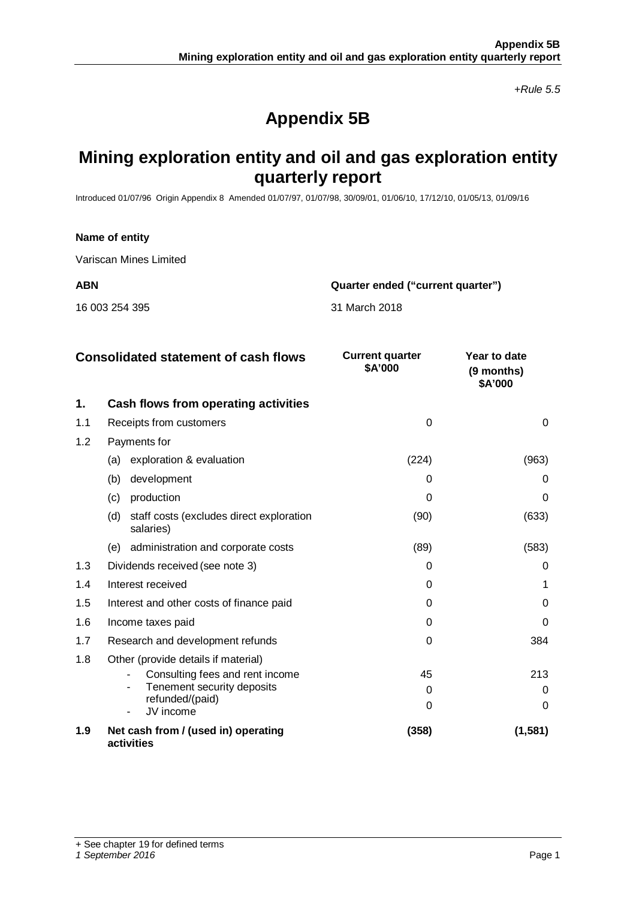*+Rule 5.5*

# **Appendix 5B**

# **Mining exploration entity and oil and gas exploration entity quarterly report**

Introduced 01/07/96 Origin Appendix 8 Amended 01/07/97, 01/07/98, 30/09/01, 01/06/10, 17/12/10, 01/05/13, 01/09/16

#### **Name of entity**

Variscan Mines Limited

**ABN Quarter ended ("current quarter")**

16 003 254 395 31 March 2018

|     | <b>Consolidated statement of cash flows</b>                  | <b>Current quarter</b><br>\$A'000 | Year to date<br>(9 months)<br>\$A'000 |
|-----|--------------------------------------------------------------|-----------------------------------|---------------------------------------|
| 1.  | Cash flows from operating activities                         |                                   |                                       |
| 1.1 | Receipts from customers                                      | $\Omega$                          | 0                                     |
| 1.2 | Payments for                                                 |                                   |                                       |
|     | exploration & evaluation<br>(a)                              | (224)                             | (963)                                 |
|     | development<br>(b)                                           | $\Omega$                          | O                                     |
|     | (c)<br>production                                            | 0                                 | 0                                     |
|     | staff costs (excludes direct exploration<br>(d)<br>salaries) | (90)                              | (633)                                 |
|     | administration and corporate costs<br>(e)                    | (89)                              | (583)                                 |
| 1.3 | Dividends received (see note 3)                              | $\Omega$                          | O                                     |
| 1.4 | Interest received                                            | $\Omega$                          |                                       |
| 1.5 | Interest and other costs of finance paid                     | $\Omega$                          | O                                     |
| 1.6 | Income taxes paid                                            | $\Omega$                          | O                                     |
| 1.7 | Research and development refunds                             | $\Omega$                          | 384                                   |
| 1.8 | Other (provide details if material)                          |                                   |                                       |
|     | Consulting fees and rent income                              | 45                                | 213                                   |
|     | Tenement security deposits<br>refunded/(paid)                | $\Omega$                          |                                       |
|     | JV income                                                    | $\Omega$                          | O                                     |
| 1.9 | Net cash from / (used in) operating<br>activities            | (358)                             | (1,581)                               |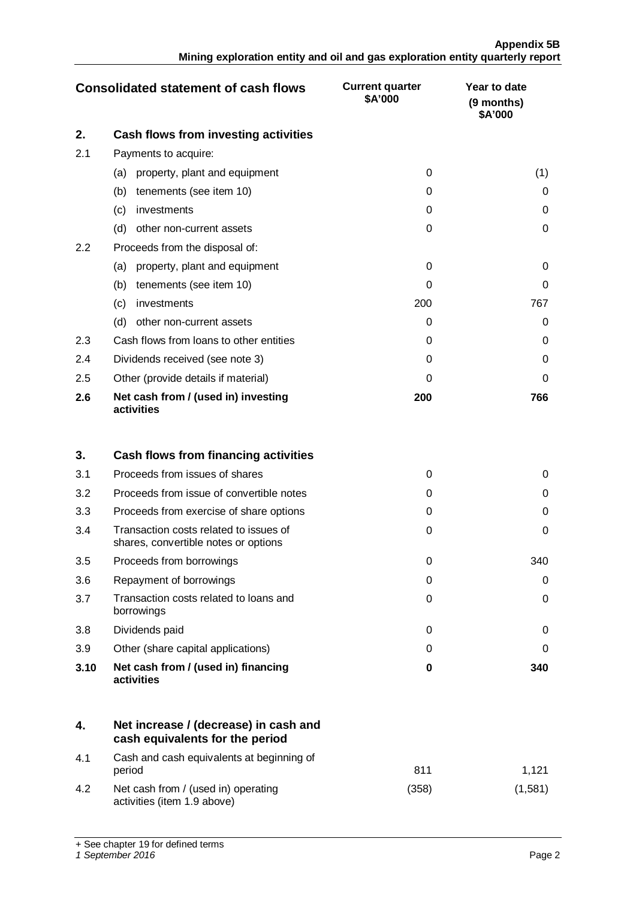|     | <b>Consolidated statement of cash flows</b>       | <b>Current quarter</b><br>\$A'000 | Year to date<br>(9 months)<br>\$A'000 |
|-----|---------------------------------------------------|-----------------------------------|---------------------------------------|
| 2.  | Cash flows from investing activities              |                                   |                                       |
| 2.1 | Payments to acquire:                              |                                   |                                       |
|     | property, plant and equipment<br>(a)              | $\Omega$                          | (1)                                   |
|     | tenements (see item 10)<br>(b)                    | 0                                 | O                                     |
|     | investments<br>(c)                                | 0                                 | 0                                     |
|     | (d)<br>other non-current assets                   | $\Omega$                          | 0                                     |
| 2.2 | Proceeds from the disposal of:                    |                                   |                                       |
|     | property, plant and equipment<br>(a)              | 0                                 | 0                                     |
|     | tenements (see item 10)<br>(b)                    | Ω                                 | 0                                     |
|     | (c)<br>investments                                | 200                               | 767                                   |
|     | (d)<br>other non-current assets                   | Ω                                 | 0                                     |
| 2.3 | Cash flows from loans to other entities           | 0                                 | 0                                     |
| 2.4 | Dividends received (see note 3)                   | 0                                 | $\Omega$                              |
| 2.5 | Other (provide details if material)               | $\Omega$                          | 0                                     |
| 2.6 | Net cash from / (used in) investing<br>activities | 200                               | 766                                   |

| 3.   | Cash flows from financing activities                                           |          |     |
|------|--------------------------------------------------------------------------------|----------|-----|
| 3.1  | Proceeds from issues of shares                                                 | ∩        |     |
| 3.2  | Proceeds from issue of convertible notes                                       | 0        |     |
| 3.3  | Proceeds from exercise of share options                                        | 0        |     |
| 3.4  | Transaction costs related to issues of<br>shares, convertible notes or options | ∩        |     |
| 3.5  | Proceeds from borrowings                                                       | ∩        | 340 |
| 3.6  | Repayment of borrowings                                                        | ∩        |     |
| 3.7  | Transaction costs related to loans and<br>borrowings                           | 0        | 0   |
| 3.8  | Dividends paid                                                                 | $\Omega$ | O   |
| 3.9  | Other (share capital applications)                                             | 0        |     |
| 3.10 | Net cash from / (used in) financing<br>activities                              | 0        | 340 |

|     | Net increase / (decrease) in cash and<br>cash equivalents for the period |       |         |
|-----|--------------------------------------------------------------------------|-------|---------|
| 4.1 | Cash and cash equivalents at beginning of<br>period                      | 811   | 1.121   |
| 4.2 | Net cash from / (used in) operating<br>activities (item 1.9 above)       | (358) | (1.581) |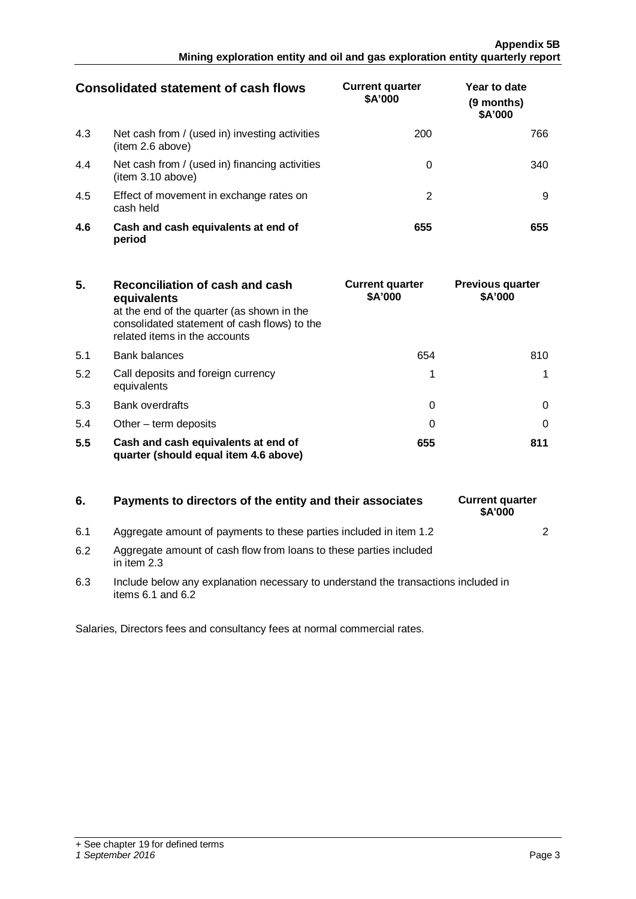## **Appendix 5B Mining exploration entity and oil and gas exploration entity quarterly report**

| <b>Consolidated statement of cash flows</b> |                                                                    | <b>Current quarter</b><br>\$A'000 | Year to date<br>(9 months)<br>\$A'000 |
|---------------------------------------------|--------------------------------------------------------------------|-----------------------------------|---------------------------------------|
| 4.3                                         | Net cash from / (used in) investing activities<br>(item 2.6 above) | 200                               | 766                                   |
| 4.4                                         | Net cash from / (used in) financing activities<br>item 3.10 above) |                                   | 34 I                                  |
| 4.5                                         | Effect of movement in exchange rates on<br>cash held               |                                   |                                       |
| 4.6                                         | Cash and cash equivalents at end of<br>period                      | 655                               |                                       |

| 5.  | Reconciliation of cash and cash<br>equivalents<br>at the end of the quarter (as shown in the<br>consolidated statement of cash flows) to the<br>related items in the accounts | <b>Current quarter</b><br>\$A'000 | <b>Previous quarter</b><br>\$A'000 |
|-----|-------------------------------------------------------------------------------------------------------------------------------------------------------------------------------|-----------------------------------|------------------------------------|
| 5.1 | <b>Bank balances</b>                                                                                                                                                          | 654                               | 810.                               |
| 5.2 | Call deposits and foreign currency<br>equivalents                                                                                                                             |                                   |                                    |
| 5.3 | <b>Bank overdrafts</b>                                                                                                                                                        |                                   |                                    |
| 5.4 | Other $-$ term deposits                                                                                                                                                       |                                   |                                    |
| 5.5 | Cash and cash equivalents at end of<br>quarter (should equal item 4.6 above)                                                                                                  | 655                               |                                    |

# **6.** Payments to directors of the entity and their associates Current quarter

- 6.1 Aggregate amount of payments to these parties included in item 1.2  $\vert$
- 6.2 Aggregate amount of cash flow from loans to these parties included in item 2.3
- 6.3 Include below any explanation necessary to understand the transactions included in items 6.1 and 6.2

Salaries, Directors fees and consultancy fees at normal commercial rates.

**\$A'000**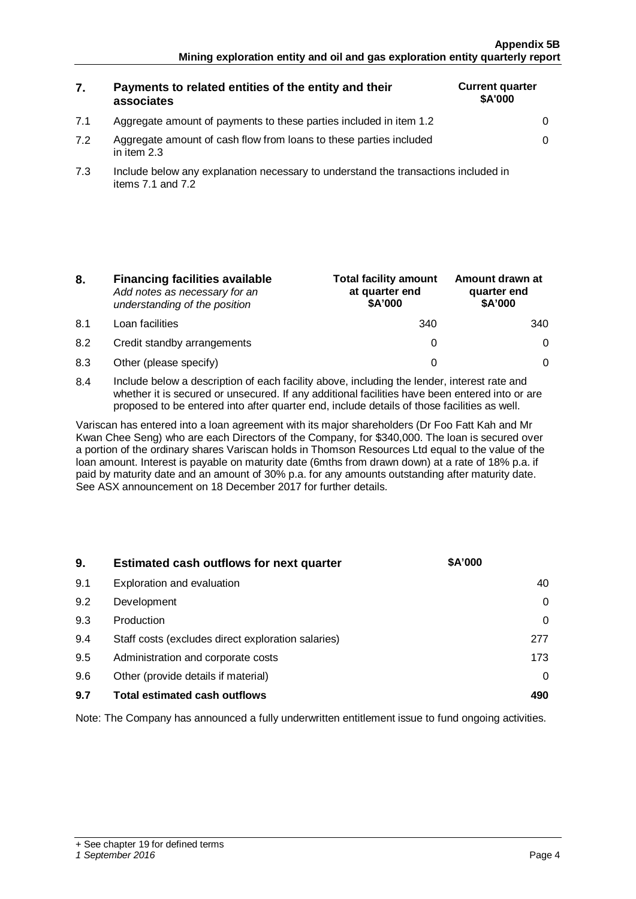# **7. Payments to related entities of the entity and their associates**

| <b>Current quarter</b><br><b>\$A'000</b> |   |
|------------------------------------------|---|
|                                          | 0 |
|                                          | 0 |
|                                          |   |

7.2 Aggregate amount of cash flow from loans to these parties included in item 2.3

7.1 Aggregate amount of payments to these parties included in item 1.2 0

7.3 Include below any explanation necessary to understand the transactions included in items  $7.1$  and  $7.2$ 

| 8. | <b>Financing facilities available</b> |
|----|---------------------------------------|
|    | Add notes as necessary for an         |
|    | understanding of the position         |

- 8.1 Loan facilities
- 8.2 Credit standby arrangements
- 8.3 Other (please specify)

| <b>Total facility amount</b><br>at quarter end<br>\$A'000 | Amount drawn at<br>quarter end<br>\$A'000 |
|-----------------------------------------------------------|-------------------------------------------|
|                                                           |                                           |
|                                                           |                                           |
|                                                           |                                           |

8.4 Include below a description of each facility above, including the lender, interest rate and whether it is secured or unsecured. If any additional facilities have been entered into or are proposed to be entered into after quarter end, include details of those facilities as well.

Variscan has entered into a loan agreement with its major shareholders (Dr Foo Fatt Kah and Mr Kwan Chee Seng) who are each Directors of the Company, for \$340,000. The loan is secured over a portion of the ordinary shares Variscan holds in Thomson Resources Ltd equal to the value of the loan amount. Interest is payable on maturity date (6mths from drawn down) at a rate of 18% p.a. if paid by maturity date and an amount of 30% p.a. for any amounts outstanding after maturity date. See ASX announcement on 18 December 2017 for further details.

| 9.  | <b>Estimated cash outflows for next quarter</b>    | \$A'000 |
|-----|----------------------------------------------------|---------|
| 9.1 | Exploration and evaluation                         |         |
| 9.2 | Development                                        |         |
| 9.3 | Production                                         |         |
| 9.4 | Staff costs (excludes direct exploration salaries) |         |
| 9.5 | Administration and corporate costs                 | 173     |
| 9.6 | Other (provide details if material)                |         |
| 9.7 | <b>Total estimated cash outflows</b>               |         |

Note: The Company has announced a fully underwritten entitlement issue to fund ongoing activities.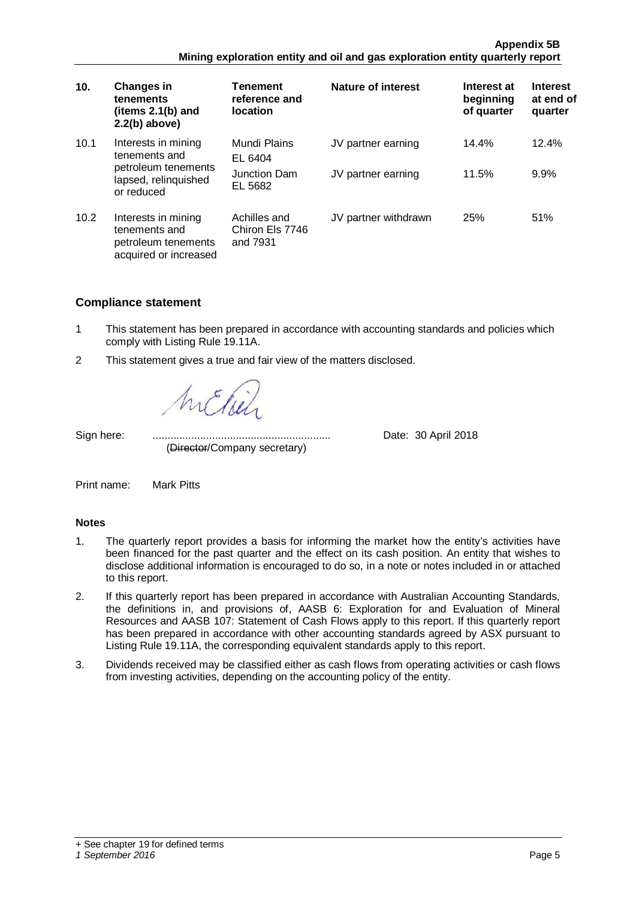| 10.  | <b>Changes in</b><br>tenements<br>(items $2.1(b)$ and<br>$2.2(b)$ above)                          | <b>Tenement</b><br>reference and<br><b>location</b> | Nature of interest                       | Interest at<br>beginning<br>of quarter | <b>Interest</b><br>at end of<br>quarter |
|------|---------------------------------------------------------------------------------------------------|-----------------------------------------------------|------------------------------------------|----------------------------------------|-----------------------------------------|
| 10.1 | Interests in mining<br>tenements and<br>petroleum tenements<br>lapsed, relinquished<br>or reduced | Mundi Plains<br>EL 6404<br>Junction Dam<br>EL 5682  | JV partner earning<br>JV partner earning | 14.4%<br>11.5%                         | 12.4%<br>9.9%                           |
| 10.2 | Interests in mining<br>tenements and<br>petroleum tenements<br>acquired or increased              | Achilles and<br>Chiron Els 7746<br>and 7931         | JV partner withdrawn                     | 25%                                    | 51%                                     |

# **Compliance statement**

- 1 This statement has been prepared in accordance with accounting standards and policies which comply with Listing Rule 19.11A.
- 2 This statement gives a true and fair view of the matters disclosed.

(Director/Company secretary)

Sign here: ............................................................ Date: 30 April 2018

Print name: Mark Pitts

## **Notes**

- 1. The quarterly report provides a basis for informing the market how the entity's activities have been financed for the past quarter and the effect on its cash position. An entity that wishes to disclose additional information is encouraged to do so, in a note or notes included in or attached to this report.
- 2. If this quarterly report has been prepared in accordance with Australian Accounting Standards, the definitions in, and provisions of, AASB 6: Exploration for and Evaluation of Mineral Resources and AASB 107: Statement of Cash Flows apply to this report. If this quarterly report has been prepared in accordance with other accounting standards agreed by ASX pursuant to Listing Rule 19.11A, the corresponding equivalent standards apply to this report.
- 3. Dividends received may be classified either as cash flows from operating activities or cash flows from investing activities, depending on the accounting policy of the entity.